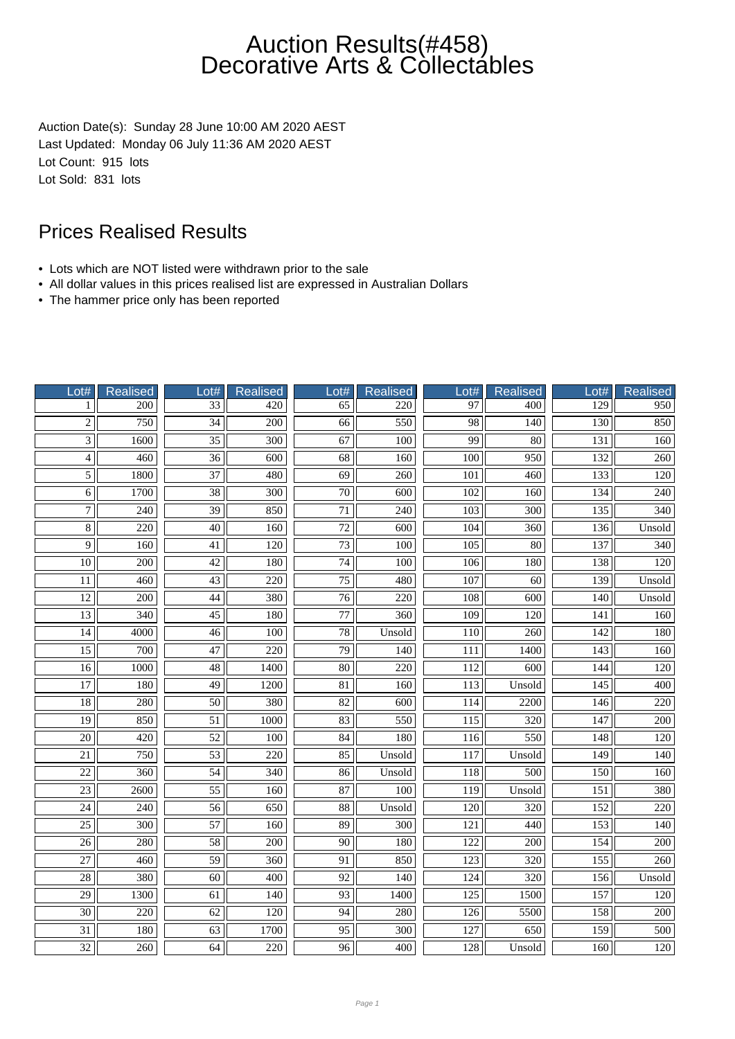Auction Date(s): Sunday 28 June 10:00 AM 2020 AEST Last Updated: Monday 06 July 11:36 AM 2020 AEST Lot Count: 915 lots Lot Sold: 831 lots

- Lots which are NOT listed were withdrawn prior to the sale
- All dollar values in this prices realised list are expressed in Australian Dollars
- The hammer price only has been reported

| Lot#            | <b>Realised</b>  | Lot#            | <b>Realised</b>  | $\overline{\overline{\text{0}}}\overline{\text{t#}}$ | <b>Realised</b>  | Lot#             | Realised         | Lot#             | <b>Realised</b>  |
|-----------------|------------------|-----------------|------------------|------------------------------------------------------|------------------|------------------|------------------|------------------|------------------|
| 1               | 200              | $\overline{33}$ | $\overline{420}$ | 65                                                   | 220              | $\overline{97}$  | 400              | 129              | $\overline{950}$ |
| $\overline{2}$  | 750              | $\overline{34}$ | $\overline{200}$ | $\overline{66}$                                      | 550              | $\overline{98}$  | $\overline{140}$ | 130              | 850              |
| $\overline{3}$  | 1600             | $\overline{35}$ | $\overline{300}$ | 67                                                   | 100              | 99               | 80               | 131              | 160              |
| $\overline{4}$  | 460              | $\overline{36}$ | 600              | $\overline{68}$                                      | 160              | 100              | 950              | 132              | 260              |
| $\overline{5}$  | 1800             | 37              | 480              | 69                                                   | 260              | 101              | 460              | 133              | 120              |
| $\overline{6}$  | 1700             | $\overline{38}$ | 300              | $\overline{70}$                                      | 600              | $\overline{102}$ | 160              | 134              | 240              |
| $\overline{7}$  | 240              | 39              | 850              | 71                                                   | 240              | 103              | 300              | 135              | 340              |
| $\overline{8}$  | 220              | $\overline{40}$ | 160              | $\overline{72}$                                      | $\overline{600}$ | 104              | 360              | 136              | Unsold           |
| $\overline{9}$  | 160              | $\overline{41}$ | 120              | 73                                                   | 100              | 105              | 80               | 137              | 340              |
| 10              | 200              | 42              | 180              | 74                                                   | 100              | 106              | 180              | 138              | 120              |
| 11              | 460              | 43              | 220              | 75                                                   | 480              | 107              | 60               | 139              | Unsold           |
| $\overline{12}$ | $\overline{200}$ | 44              | 380              | $\overline{76}$                                      | $\overline{220}$ | 108              | $\overline{600}$ | 140              | Unsold           |
| $\overline{13}$ | $\overline{340}$ | $\overline{45}$ | 180              | $\overline{77}$                                      | $\overline{360}$ | $\overline{109}$ | $\overline{120}$ | 141              | 160              |
| 14              | 4000             | $\overline{46}$ | 100              | 78                                                   | Unsold           | 110              | $\overline{260}$ | 142              | 180              |
| $\overline{15}$ | 700              | 47              | 220              | $\overline{79}$                                      | 140              | 111              | 1400             | $\overline{143}$ | 160              |
| 16              | 1000             | 48              | 1400             | 80                                                   | 220              | 112              | 600              | 144              | 120              |
| $\overline{17}$ | 180              | $\overline{49}$ | 1200             | $\overline{81}$                                      | 160              | $\overline{113}$ | Unsold           | $\overline{145}$ | $\overline{400}$ |
| $\overline{18}$ | 280              | $\overline{50}$ | 380              | 82                                                   | 600              | 114              | 2200             | 146              | 220              |
| $\overline{19}$ | 850              | $\overline{51}$ | 1000             | 83                                                   | 550              | 115              | $\overline{320}$ | $\overline{147}$ | $\overline{200}$ |
| $\overline{20}$ | 420              | 52              | 100              | 84                                                   | 180              | 116              | 550              | 148              | 120              |
| 21              | 750              | 53              | 220              | 85                                                   | Unsold           | 117              | Unsold           | 149              | 140              |
| $\overline{22}$ | 360              | $\overline{54}$ | 340              | 86                                                   | Unsold           | 118              | 500              | $\overline{150}$ | 160              |
| $\overline{23}$ | 2600             | $\overline{55}$ | 160              | 87                                                   | 100              | $\overline{119}$ | Unsold           | 151              | 380              |
| $\overline{24}$ | 240              | $\overline{56}$ | 650              | $\overline{\bf 88}$                                  | Unsold           | $\overline{120}$ | 320              | 152              | $\overline{220}$ |
| $\overline{25}$ | 300              | 57              | 160              | 89                                                   | 300              | 121              | 440              | 153              | 140              |
| $\overline{26}$ | 280              | $\overline{58}$ | 200              | $\overline{90}$                                      | 180              | 122              | 200              | 154              | 200              |
| $\overline{27}$ | 460              | 59              | 360              | 91                                                   | 850              | 123              | 320              | 155              | 260              |
| $\overline{28}$ | 380              | $\overline{60}$ | $\overline{400}$ | $\overline{92}$                                      | $\overline{140}$ | $\overline{124}$ | $\overline{320}$ | 156              | Unsold           |
| 29              | 1300             | 61              | 140              | 93                                                   | 1400             | 125              | 1500             | 157              | 120              |
| $\overline{30}$ | $\overline{220}$ | 62              | 120              | $\overline{94}$                                      | 280              | 126              | 5500             | 158              | 200              |
| 31              | 180              | 63              | 1700             | 95                                                   | 300              | 127              | 650              | 159              | 500              |
| 32              | 260              | 64              | 220              | 96                                                   | 400              | 128              | Unsold           | 160              | 120              |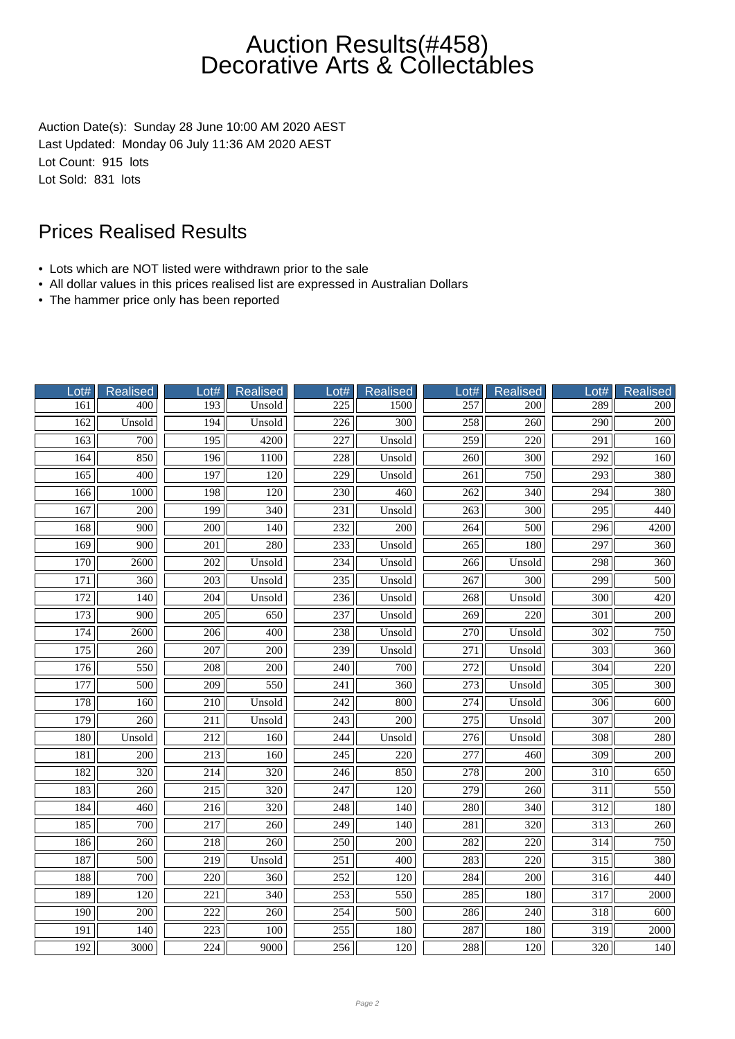Auction Date(s): Sunday 28 June 10:00 AM 2020 AEST Last Updated: Monday 06 July 11:36 AM 2020 AEST Lot Count: 915 lots Lot Sold: 831 lots

- Lots which are NOT listed were withdrawn prior to the sale
- All dollar values in this prices realised list are expressed in Australian Dollars
- The hammer price only has been reported

| Lot#             | <b>Realised</b>  | Lot#             | <b>Realised</b>  | Lot#             | <b>Realised</b>  | Lot#             | <b>Realised</b>  | Lot#             | <b>Realised</b>  |
|------------------|------------------|------------------|------------------|------------------|------------------|------------------|------------------|------------------|------------------|
| 161              | 400              | 193              | Unsold           | 225              | 1500             | 257              | 200              | 289              | 200              |
| 162              | Unsold           | 194              | Unsold           | $\overline{226}$ | $\overline{300}$ | 258              | $\overline{260}$ | $\overline{290}$ | $\overline{200}$ |
| 163              | 700              | 195              | 4200             | 227              | Unsold           | 259              | 220              | 291              | 160              |
| 164              | 850              | 196              | 1100             | 228              | Unsold           | 260              | 300              | 292              | 160              |
| 165              | 400              | 197              | 120              | 229              | Unsold           | $\overline{261}$ | 750              | 293              | 380              |
| 166              | 1000             | 198              | 120              | 230              | 460              | $\overline{262}$ | 340              | 294              | 380              |
| 167              | $\overline{200}$ | 199              | $\overline{340}$ | $\overline{231}$ | Unsold           | $\overline{263}$ | $\overline{300}$ | $\overline{295}$ | 440              |
| 168              | 900              | 200              | 140              | 232              | $\overline{200}$ | 264              | 500              | 296              | 4200             |
| 169              | 900              | 201              | 280              | 233              | Unsold           | 265              | 180              | 297              | 360              |
| 170              | 2600             | 202              | Unsold           | 234              | Unsold           | 266              | Unsold           | 298              | 360              |
| 171              | 360              | 203              | Unsold           | 235              | Unsold           | 267              | 300              | 299              | 500              |
| $\overline{172}$ | $\overline{140}$ | $\overline{204}$ | Unsold           | 236              | Unsold           | 268              | Unsold           | $\overline{300}$ | $\overline{420}$ |
| $\overline{173}$ | 900              | 205              | 650              | 237              | Unsold           | 269              | 220              | 301              | 200              |
| 174              | 2600             | $\overline{206}$ | 400              | 238              | Unsold           | 270              | Unsold           | $\overline{302}$ | 750              |
| 175              | 260              | $\overline{207}$ | 200              | 239              | Unsold           | $\overline{271}$ | Unsold           | $\overline{303}$ | 360              |
| 176              | 550              | 208              | 200              | 240              | 700              | $\overline{272}$ | Unsold           | 304              | 220              |
| $\overline{177}$ | $\overline{500}$ | $\overline{209}$ | 550              | 241              | 360              | $\overline{273}$ | Unsold           | $\overline{305}$ | 300              |
| 178              | 160              | 210              | Unsold           | 242              | 800              | 274              | Unsold           | 306              | 600              |
| 179              | $\overline{260}$ | 211              | Unsold           | $\overline{243}$ | $\overline{200}$ | $\overline{275}$ | Unsold           | 307              | $\overline{200}$ |
| 180              | Unsold           | 212              | 160              | 244              | Unsold           | $\overline{276}$ | Unsold           | 308              | 280              |
| 181              | 200              | 213              | 160              | 245              | 220              | 277              | 460              | 309              | 200              |
| 182              | $\frac{320}{ }$  | 214              | $\overline{320}$ | 246              | 850              | $\overline{278}$ | $\overline{200}$ | $\overline{310}$ | 650              |
| 183              | $\overline{260}$ | $\overline{215}$ | $\overline{320}$ | $\overline{247}$ | $\overline{120}$ | $\overline{279}$ | $\overline{260}$ | $\overline{311}$ | 550              |
| 184              | $\overline{460}$ | $\overline{216}$ | 320              | 248              | 140              | 280              | 340              | $\overline{312}$ | 180              |
| 185              | 700              | 217              | 260              | 249              | 140              | 281              | 320              | $\overline{313}$ | 260              |
| 186              | 260              | 218              | 260              | 250              | 200              | 282              | 220              | 314              | 750              |
| 187              | 500              | 219              | Unsold           | 251              | 400              | 283              | 220              | 315              | 380              |
| 188              | 700              | 220              | 360              | 252              | 120              | 284              | 200              | 316              | 440              |
| 189              | $\overline{120}$ | 221              | $\overline{340}$ | 253              | 550              | 285              | 180              | $\overline{317}$ | 2000             |
| 190              | 200              | 222              | 260              | 254              | 500              | 286              | 240              | 318              | 600              |
| 191              | 140              | 223              | 100              | 255              | 180              | 287              | 180              | 319              | 2000             |
| 192              | 3000             | 224              | 9000             | 256              | 120              | 288              | 120              | 320              | 140              |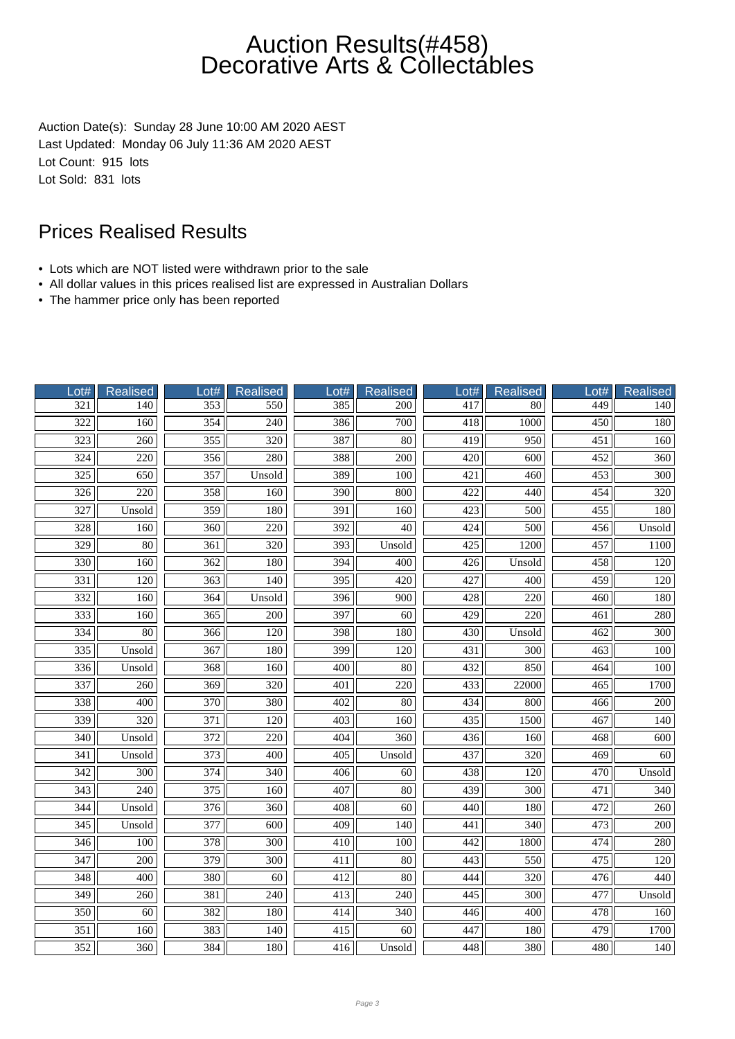Auction Date(s): Sunday 28 June 10:00 AM 2020 AEST Last Updated: Monday 06 July 11:36 AM 2020 AEST Lot Count: 915 lots Lot Sold: 831 lots

- Lots which are NOT listed were withdrawn prior to the sale
- All dollar values in this prices realised list are expressed in Australian Dollars
- The hammer price only has been reported

| ot#              | <b>Realised</b>  | Lot#             | <b>Realised</b>  | $_0$ ot#         | <b>Realised</b>  | ot# | Realised         | Lot#             | <b>Realised</b>  |
|------------------|------------------|------------------|------------------|------------------|------------------|-----|------------------|------------------|------------------|
| $\overline{321}$ | 140              | 353              | 550              | 385              | 200              | 417 | 80               | 449              | 140              |
| $\overline{322}$ | $\overline{160}$ | $\frac{354}{7}$  | $\overline{240}$ | 386              | $\overline{700}$ | 418 | 1000             | $\overline{450}$ | 180              |
| $\overline{323}$ | 260              | 355              | 320              | 387              | $\overline{80}$  | 419 | $\overline{950}$ | 451              | 160              |
| $\overline{324}$ | 220              | 356              | 280              | 388              | 200              | 420 | 600              | 452              | 360              |
| 325              | 650              | 357              | Unsold           | 389              | 100              | 421 | 460              | 453              | 300              |
| $\overline{326}$ | 220              | 358              | 160              | 390              | 800              | 422 | 440              | 454              | 320              |
| 327              | Unsold           | 359              | 180              | 391              | 160              | 423 | 500              | 455              | 180              |
| 328              | 160              | $\overline{360}$ | $\overline{220}$ | $\overline{392}$ | 40               | 424 | 500              | 456              | Unsold           |
| $\overline{329}$ | 80               | 361              | 320              | 393              | Unsold           | 425 | 1200             | 457              | 1100             |
| 330              | 160              | 362              | 180              | 394              | 400              | 426 | Unsold           | 458              | 120              |
| 331              | 120              | 363              | 140              | 395              | 420              | 427 | 400              | 459              | 120              |
| $\overline{332}$ | 160              | 364              | Unsold           | $\overline{396}$ | $\overline{900}$ | 428 | 220              | $\overline{460}$ | 180              |
| 333              | 160              | $\overline{365}$ | 200              | 397              | $\overline{60}$  | 429 | $\overline{220}$ | $\overline{461}$ | 280              |
| 334              | 80               | 366              | 120              | 398              | 180              | 430 | Unsold           | 462              | 300              |
| $\overline{335}$ | Unsold           | 367              | 180              | 399              | 120              | 431 | 300              | 463              | 100              |
| 336              | Unsold           | 368              | 160              | 400              | 80               | 432 | 850              | 464              | 100              |
| $\overline{337}$ | $\overline{260}$ | $\overline{369}$ | 320              | 401              | 220              | 433 | 22000            | $\overline{465}$ | 1700             |
| 338              | 400              | 370              | 380              | 402              | 80               | 434 | 800              | 466              | 200              |
| 339              | $\overline{320}$ | 371              | 120              | 403              | 160              | 435 | 1500             | 467              | 140              |
| 340              | Unsold           | 372              | 220              | 404              | 360              | 436 | 160              | 468              | 600              |
| 341              | Unsold           | 373              | 400              | 405              | Unsold           | 437 | 320              | 469              | 60               |
| 342              | $\overline{300}$ | 374              | 340              | 406              | 60               | 438 | 120              | 470              | Unsold           |
| $\overline{343}$ | $\overline{240}$ | $\overline{375}$ | $\overline{160}$ | 407              | $\overline{80}$  | 439 | $\overline{300}$ | 471              | $\overline{340}$ |
| 344              | Unsold           | 376              | 360              | 408              | 60               | 440 | 180              | 472              | 260              |
| 345              | Unsold           | 377              | 600              | 409              | 140              | 441 | 340              | 473              | 200              |
| 346              | 100              | 378              | 300              | 410              | 100              | 442 | 1800             | 474              | 280              |
| 347              | 200              | 379              | 300              | 411              | $80\,$           | 443 | 550              | 475              | 120              |
| $\overline{348}$ | 400              | 380              | 60               | $\overline{412}$ | $\overline{80}$  | 444 | $\overline{320}$ | 476              | 440              |
| 349              | 260              | 381              | 240              | 413              | 240              | 445 | 300              | 477              | Unsold           |
| $\overline{350}$ | 60               | 382              | 180              | 414              | 340              | 446 | 400              | 478              | 160              |
| 351              | 160              | 383              | 140              | 415              | 60               | 447 | 180              | 479              | 1700             |
| 352              | 360              | 384              | 180              | 416              | Unsold           | 448 | 380              | 480              | 140              |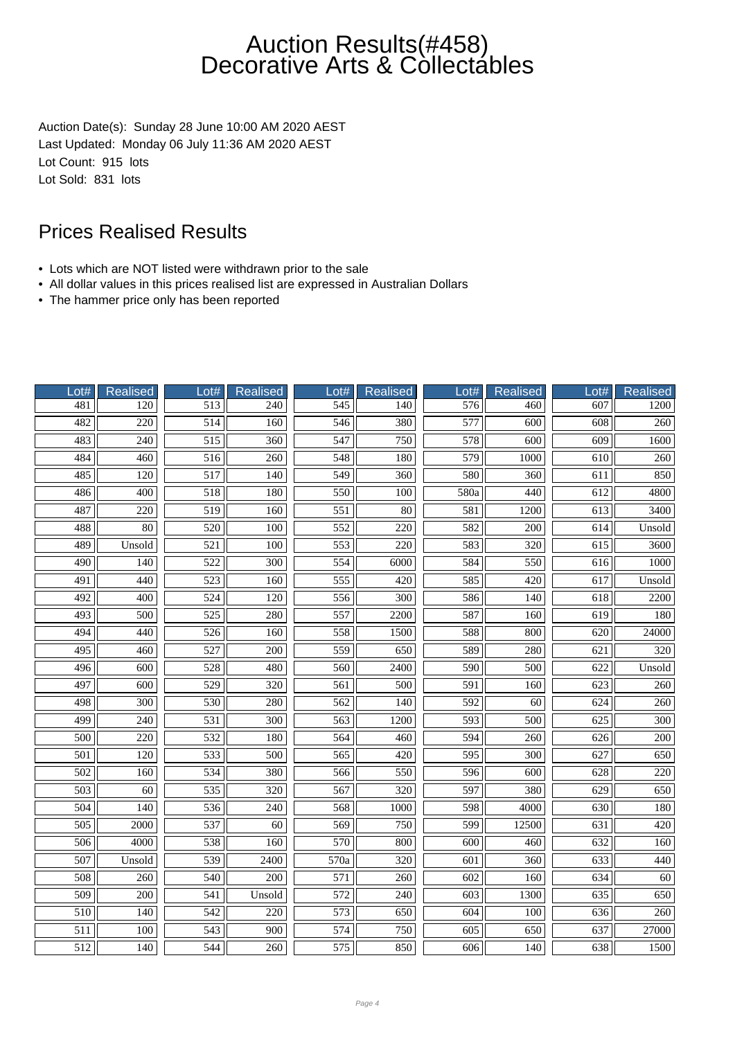Auction Date(s): Sunday 28 June 10:00 AM 2020 AEST Last Updated: Monday 06 July 11:36 AM 2020 AEST Lot Count: 915 lots Lot Sold: 831 lots

- Lots which are NOT listed were withdrawn prior to the sale
- All dollar values in this prices realised list are expressed in Australian Dollars
- The hammer price only has been reported

| Lot#             | <b>Realised</b>  | Lot#             | Realised         | Lot#             | <b>Realised</b>  | $-$ ot#          | <b>Realised</b>  | Lot#             | <b>Realised</b>  |
|------------------|------------------|------------------|------------------|------------------|------------------|------------------|------------------|------------------|------------------|
| 481              | 120              | 513              | 240              | 545              | 140              | 576              | 460              | 607              | 1200             |
| 482              | 220              | 514              | 160              | 546              | 380              | 577              | 600              | 608              | 260              |
| 483              | $\overline{240}$ | $\overline{515}$ | $\overline{360}$ | 547              | 750              | 578              | 600              | 609              | 1600             |
| 484              | 460              | 516              | 260              | 548              | 180              | 579              | 1000             | 610              | 260              |
| 485              | 120              | 517              | 140              | 549              | 360              | 580              | 360              | 611              | 850              |
| 486              | 400              | 518              | 180              | 550              | 100              | 580a             | 440              | 612              | 4800             |
| 487              | $\overline{220}$ | $\overline{519}$ | 160              | $\overline{551}$ | $\overline{80}$  | 581              | 1200             | 613              | 3400             |
| 488              | 80               | 520              | 100              | $\overline{552}$ | $\overline{220}$ | 582              | 200              | 614              | Unsold           |
| 489              | Unsold           | 521              | 100              | 553              | $\overline{220}$ | 583              | 320              | 615              | 3600             |
| 490              | 140              | 522              | 300              | 554              | 6000             | 584              | 550              | 616              | 1000             |
| 491              | 440              | 523              | 160              | 555              | 420              | 585              | 420              | 617              | Unsold           |
| $\overline{492}$ | 400              | 524              | 120              | 556              | 300              | 586              | 140              | 618              | 2200             |
| 493              | 500              | $\overline{525}$ | 280              | 557              | 2200             | 587              | 160              | 619              | 180              |
| 494              | 440              | 526              | 160              | 558              | 1500             | 588              | 800              | 620              | 24000            |
| 495              | 460              | 527              | 200              | 559              | 650              | 589              | 280              | 621              | 320              |
| 496              | 600              | 528              | 480              | 560              | 2400             | 590              | 500              | 622              | Unsold           |
| 497              | 600              | $\overline{529}$ | 320              | 561              | 500              | 591              | $\overline{160}$ | $\overline{623}$ | 260              |
| 498              | 300              | 530              | 280              | 562              | 140              | $\overline{592}$ | 60               | 624              | 260              |
| 499              | $\overline{240}$ | $\overline{531}$ | $\overline{300}$ | 563              | 1200             | 593              | 500              | 625              | $\overline{300}$ |
| 500              | 220              | 532              | 180              | 564              | 460              | 594              | 260              | 626              | 200              |
| 501              | 120              | 533              | 500              | 565              | 420              | 595              | 300              | 627              | 650              |
| 502              | 160              | 534              | 380              | 566              | 550              | 596              | 600              | 628              | 220              |
| $\overline{503}$ | 60               | $\overline{535}$ | $\overline{320}$ | 567              | $\overline{320}$ | 597              | 380              | $\overline{629}$ | 650              |
| 504              | 140              | 536              | 240              | 568              | 1000             | 598              | 4000             | 630              | 180              |
| 505              | 2000             | 537              | 60               | 569              | 750              | 599              | 12500            | 631              | 420              |
| 506              | 4000             | 538              | 160              | 570              | 800              | 600              | 460              | 632              | 160              |
| 507              | Unsold           | 539              | 2400             | 570a             | 320              | 601              | 360              | 633              | 440              |
| 508              | 260              | 540              | 200              | 571              | 260              | 602              | 160              | 634              | $\overline{60}$  |
| $\overline{509}$ | 200              | 541              | Unsold           | $\overline{572}$ | $\overline{240}$ | $\overline{603}$ | 1300             | 635              | 650              |
| 510              | 140              | 542              | $\overline{220}$ | 573              | 650              | 604              | 100              | 636              | 260              |
| 511              | 100              | 543              | 900              | 574              | 750              | 605              | 650              | 637              | 27000            |
| 512              | 140              | 544              | 260              | 575              | 850              | 606              | 140              | 638              | 1500             |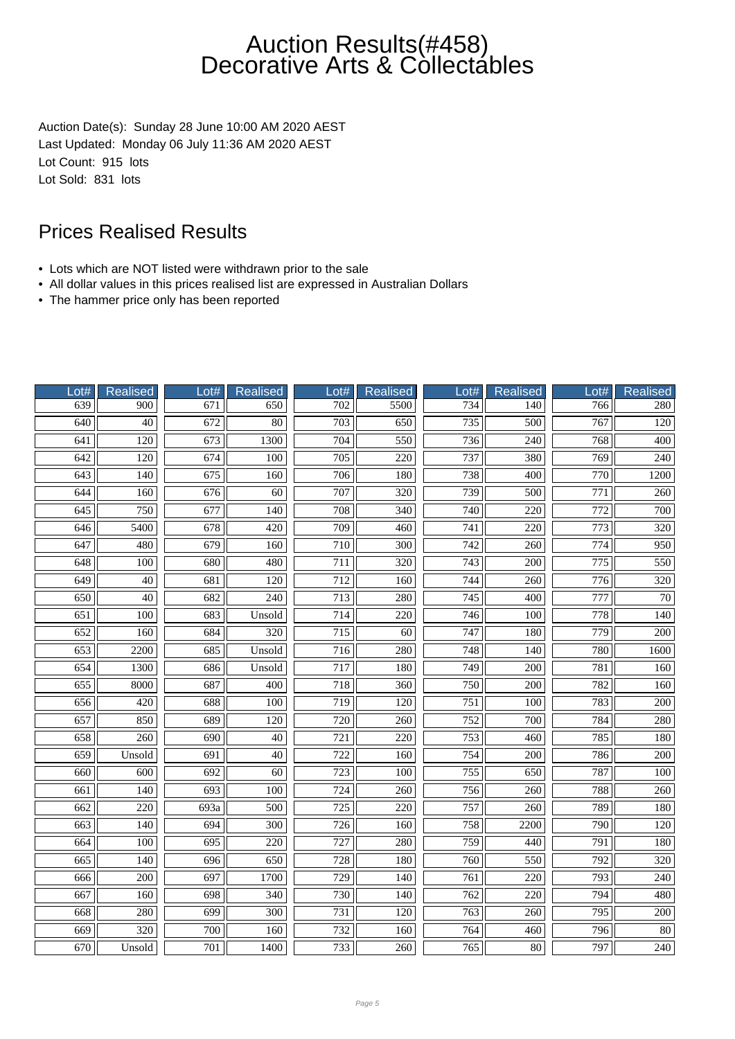Auction Date(s): Sunday 28 June 10:00 AM 2020 AEST Last Updated: Monday 06 July 11:36 AM 2020 AEST Lot Count: 915 lots Lot Sold: 831 lots

- Lots which are NOT listed were withdrawn prior to the sale
- All dollar values in this prices realised list are expressed in Australian Dollars
- The hammer price only has been reported

| Lot#             | Realised         | Lot#             | <b>Realised</b>  | Lot#             | <b>Realised</b>  | Lot#             | Realised         | Lot#             | <b>Realised</b>  |
|------------------|------------------|------------------|------------------|------------------|------------------|------------------|------------------|------------------|------------------|
| 639              | 900              | 671              | 650              | 702              | 5500             | 734              | 140              | 766              | 280              |
| $\overline{640}$ | 40               | 672              | 80               | $\overline{703}$ | 650              | 735              | 500              | 767              | 120              |
| 641              | 120              | 673              | 1300             | 704              | 550              | 736              | $\overline{240}$ | 768              | 400              |
| 642              | 120              | 674              | 100              | 705              | 220              | 737              | 380              | 769              | 240              |
| 643              | 140              | 675              | 160              | 706              | 180              | 738              | 400              | 770              | 1200             |
| 644              | 160              | 676              | $\overline{60}$  | 707              | $\overline{320}$ | 739              | 500              | 771              | 260              |
| $\overline{645}$ | 750              | $\overline{677}$ | $\overline{140}$ | 708              | $\overline{340}$ | $\overline{740}$ | 220              | $\overline{772}$ | 700              |
| 646              | 5400             | 678              | $\overline{420}$ | 709              | 460              | 741              | 220              | 773              | 320              |
| 647              | 480              | 679              | 160              | 710              | $\overline{300}$ | 742              | 260              | 774              | 950              |
| 648              | 100              | 680              | 480              | 711              | 320              | 743              | 200              | 775              | 550              |
| 649              | 40               | 681              | 120              | 712              | 160              | 744              | 260              | 776              | 320              |
| $\overline{650}$ | $\overline{40}$  | $\overline{682}$ | 240              | $\overline{713}$ | 280              | $\overline{745}$ | $\overline{400}$ | $\overline{777}$ | $\overline{70}$  |
| 651              | 100              | 683              | Unsold           | 714              | 220              | 746              | 100              | 778              | 140              |
| 652              | 160              | 684              | 320              | 715              | 60               | 747              | 180              | 779              | $\overline{200}$ |
| 653              | 2200             | 685              | Unsold           | 716              | 280              | 748              | 140              | 780              | 1600             |
| 654              | 1300             | 686              | Unsold           | 717              | 180              | 749              | 200              | 781              | 160              |
| 655              | 8000             | 687              | 400              | 718              | 360              | 750              | 200              | 782              | 160              |
| 656              | 420              | 688              | 100              | 719              | 120              | $\overline{751}$ | $\overline{100}$ | 783              | $\overline{200}$ |
| 657              | 850              | 689              | 120              | 720              | 260              | 752              | 700              | 784              | 280              |
| 658              | 260              | 690              | 40               | 721              | 220              | 753              | 460              | 785              | 180              |
| 659              | Unsold           | 691              | 40               | 722              | 160              | 754              | 200              | 786              | 200              |
| 660              | $\overline{600}$ | 692              | $\overline{60}$  | 723              | 100              | 755              | $\overline{650}$ | 787              | $\overline{100}$ |
| 661              | 140              | 693              | 100              | 724              | 260              | 756              | 260              | 788              | 260              |
| 662              | 220              | 693a             | 500              | 725              | $\overline{220}$ | 757              | 260              | 789              | 180              |
| 663              | 140              | 694              | $\overline{300}$ | 726              | 160              | 758              | 2200             | 790              | 120              |
| 664              | 100              | 695              | 220              | 727              | 280              | 759              | 440              | 791              | 180              |
| 665              | 140              | 696              | 650              | 728              | 180              | 760              | 550              | 792              | 320              |
| 666              | 200              | 697              | 1700             | $\overline{729}$ | 140              | 761              | 220              | $\overline{793}$ | $\overline{240}$ |
| 667              | 160              | 698              | 340              | 730              | 140              | 762              | 220              | 794              | 480              |
| 668              | 280              | 699              | $\overline{300}$ | 731              | 120              | 763              | 260              | 795              | $\overline{200}$ |
| 669              | 320              | 700              | 160              | $\overline{732}$ | 160              | 764              | 460              | 796              | 80               |
| 670              | Unsold           | 701              | 1400             | 733              | 260              | 765              | 80               | 797              | 240              |